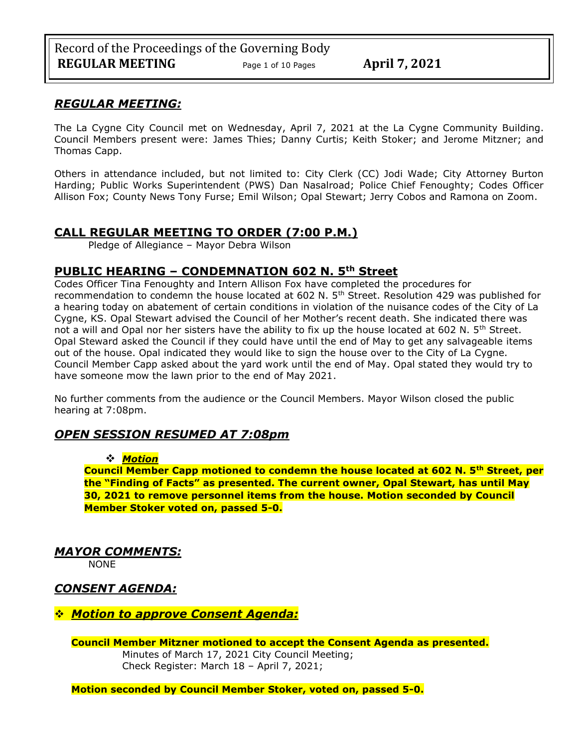# *REGULAR MEETING:*

The La Cygne City Council met on Wednesday, April 7, 2021 at the La Cygne Community Building. Council Members present were: James Thies; Danny Curtis; Keith Stoker; and Jerome Mitzner; and Thomas Capp.

Others in attendance included, but not limited to: City Clerk (CC) Jodi Wade; City Attorney Burton Harding; Public Works Superintendent (PWS) Dan Nasalroad; Police Chief Fenoughty; Codes Officer Allison Fox; County News Tony Furse; Emil Wilson; Opal Stewart; Jerry Cobos and Ramona on Zoom.

# **CALL REGULAR MEETING TO ORDER (7:00 P.M.)**

Pledge of Allegiance – Mayor Debra Wilson

# **PUBLIC HEARING – CONDEMNATION 602 N. 5th Street**

Codes Officer Tina Fenoughty and Intern Allison Fox have completed the procedures for recommendation to condemn the house located at 602 N. 5<sup>th</sup> Street. Resolution 429 was published for a hearing today on abatement of certain conditions in violation of the nuisance codes of the City of La Cygne, KS. Opal Stewart advised the Council of her Mother's recent death. She indicated there was not a will and Opal nor her sisters have the ability to fix up the house located at 602 N.  $5<sup>th</sup>$  Street. Opal Steward asked the Council if they could have until the end of May to get any salvageable items out of the house. Opal indicated they would like to sign the house over to the City of La Cygne. Council Member Capp asked about the yard work until the end of May. Opal stated they would try to have someone mow the lawn prior to the end of May 2021.

No further comments from the audience or the Council Members. Mayor Wilson closed the public hearing at 7:08pm.

# *OPEN SESSION RESUMED AT 7:08pm*

### ❖ *Motion*

**Council Member Capp motioned to condemn the house located at 602 N. 5th Street, per the "Finding of Facts" as presented. The current owner, Opal Stewart, has until May 30, 2021 to remove personnel items from the house. Motion seconded by Council Member Stoker voted on, passed 5-0.**

*MAYOR COMMENTS:*

NONE

# *CONSENT AGENDA:*

# ❖ *Motion to approve Consent Agenda:*

**Council Member Mitzner motioned to accept the Consent Agenda as presented.** Minutes of March 17, 2021 City Council Meeting; Check Register: March 18 – April 7, 2021;

**Motion seconded by Council Member Stoker, voted on, passed 5-0.**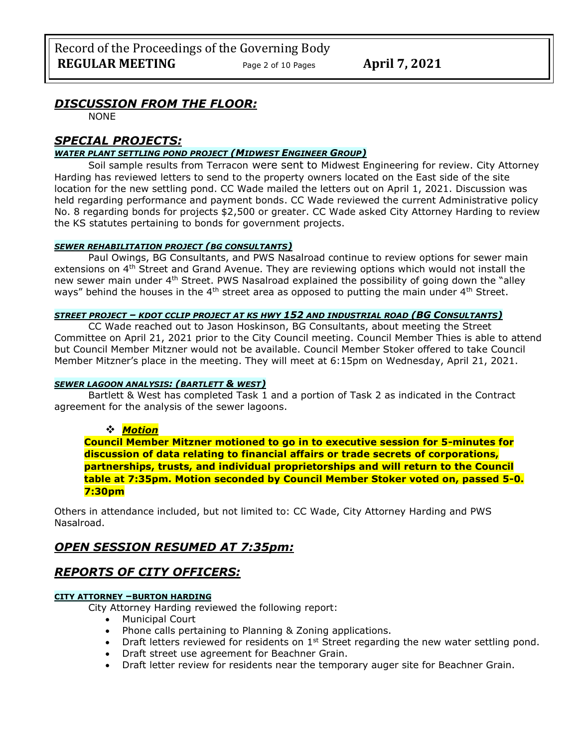# *DISCUSSION FROM THE FLOOR:*

NONE

# *SPECIAL PROJECTS:*

### *WATER PLANT SETTLING POND PROJECT (MIDWEST ENGINEER GROUP)*

Soil sample results from Terracon were sent to Midwest Engineering for review. City Attorney Harding has reviewed letters to send to the property owners located on the East side of the site location for the new settling pond. CC Wade mailed the letters out on April 1, 2021. Discussion was held regarding performance and payment bonds. CC Wade reviewed the current Administrative policy No. 8 regarding bonds for projects \$2,500 or greater. CC Wade asked City Attorney Harding to review the KS statutes pertaining to bonds for government projects.

### *SEWER REHABILITATION PROJECT (BG CONSULTANTS)*

Paul Owings, BG Consultants, and PWS Nasalroad continue to review options for sewer main extensions on 4<sup>th</sup> Street and Grand Avenue. They are reviewing options which would not install the new sewer main under 4<sup>th</sup> Street. PWS Nasalroad explained the possibility of going down the "alley ways" behind the houses in the  $4<sup>th</sup>$  street area as opposed to putting the main under  $4<sup>th</sup>$  Street.

### *STREET PROJECT – KDOT CCLIP PROJECT AT KS HWY 152 AND INDUSTRIAL ROAD (BG CONSULTANTS)*

CC Wade reached out to Jason Hoskinson, BG Consultants, about meeting the Street Committee on April 21, 2021 prior to the City Council meeting. Council Member Thies is able to attend but Council Member Mitzner would not be available. Council Member Stoker offered to take Council Member Mitzner's place in the meeting. They will meet at 6:15pm on Wednesday, April 21, 2021.

### *SEWER LAGOON ANALYSIS: (BARTLETT & WEST)*

Bartlett & West has completed Task 1 and a portion of Task 2 as indicated in the Contract agreement for the analysis of the sewer lagoons.

### ❖ *Motion*

**Council Member Mitzner motioned to go in to executive session for 5-minutes for discussion of data relating to financial affairs or trade secrets of corporations, partnerships, trusts, and individual proprietorships and will return to the Council table at 7:35pm. Motion seconded by Council Member Stoker voted on, passed 5-0. 7:30pm** 

Others in attendance included, but not limited to: CC Wade, City Attorney Harding and PWS Nasalroad.

# *OPEN SESSION RESUMED AT 7:35pm:*

# *REPORTS OF CITY OFFICERS:*

#### **CITY ATTORNEY –BURTON HARDING**

City Attorney Harding reviewed the following report:

- Municipal Court
- Phone calls pertaining to Planning & Zoning applications.
- Draft letters reviewed for residents on  $1<sup>st</sup>$  Street regarding the new water settling pond.
- Draft street use agreement for Beachner Grain.
- Draft letter review for residents near the temporary auger site for Beachner Grain.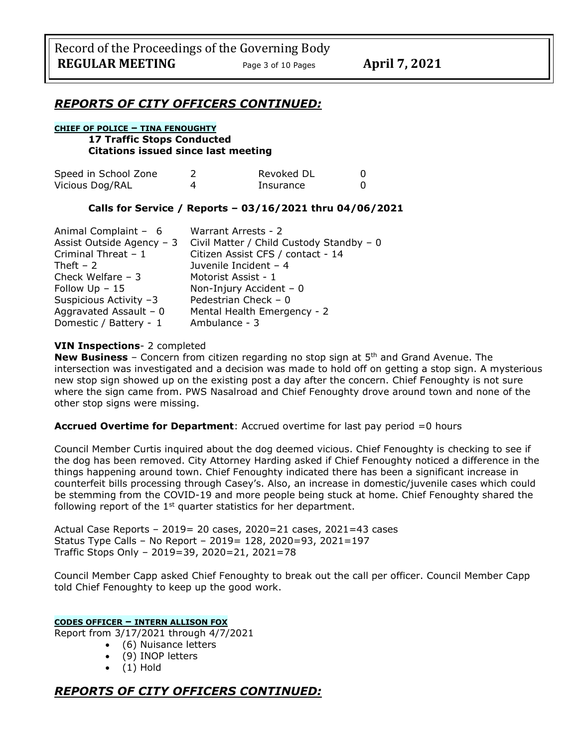## *REPORTS OF CITY OFFICERS CONTINUED:*

### **CHIEF OF POLICE – TINA FENOUGHTY**

#### **17 Traffic Stops Conducted Citations issued since last meeting**

| Speed in School Zone | Revoked DL |  |
|----------------------|------------|--|
| Vicious Dog/RAL      | Insurance  |  |

### **Calls for Service / Reports – 03/16/2021 thru 04/06/2021**

| Animal Complaint - 6      | Warrant Arrests - 2                      |
|---------------------------|------------------------------------------|
| Assist Outside Agency - 3 | Civil Matter / Child Custody Standby - 0 |
| Criminal Threat - 1       | Citizen Assist CFS / contact - 14        |
| Theft $-2$                | Juvenile Incident - 4                    |
| Check Welfare $-3$        | Motorist Assist - 1                      |
| Follow $Up - 15$          | Non-Injury Accident $-0$                 |
| Suspicious Activity -3    | Pedestrian Check $-0$                    |
| Aggravated Assault - $0$  | Mental Health Emergency - 2              |
| Domestic / Battery - 1    | Ambulance - 3                            |

### **VIN Inspections**- 2 completed

**New Business** – Concern from citizen regarding no stop sign at 5<sup>th</sup> and Grand Avenue. The intersection was investigated and a decision was made to hold off on getting a stop sign. A mysterious new stop sign showed up on the existing post a day after the concern. Chief Fenoughty is not sure where the sign came from. PWS Nasalroad and Chief Fenoughty drove around town and none of the other stop signs were missing.

### **Accrued Overtime for Department**: Accrued overtime for last pay period =0 hours

Council Member Curtis inquired about the dog deemed vicious. Chief Fenoughty is checking to see if the dog has been removed. City Attorney Harding asked if Chief Fenoughty noticed a difference in the things happening around town. Chief Fenoughty indicated there has been a significant increase in counterfeit bills processing through Casey's. Also, an increase in domestic/juvenile cases which could be stemming from the COVID-19 and more people being stuck at home. Chief Fenoughty shared the following report of the  $1<sup>st</sup>$  quarter statistics for her department.

Actual Case Reports – 2019= 20 cases, 2020=21 cases, 2021=43 cases Status Type Calls – No Report – 2019= 128, 2020=93, 2021=197 Traffic Stops Only – 2019=39, 2020=21, 2021=78

Council Member Capp asked Chief Fenoughty to break out the call per officer. Council Member Capp told Chief Fenoughty to keep up the good work.

### **CODES OFFICER – INTERN ALLISON FOX**

Report from 3/17/2021 through 4/7/2021

- (6) Nuisance letters
- (9) INOP letters
- (1) Hold

# *REPORTS OF CITY OFFICERS CONTINUED:*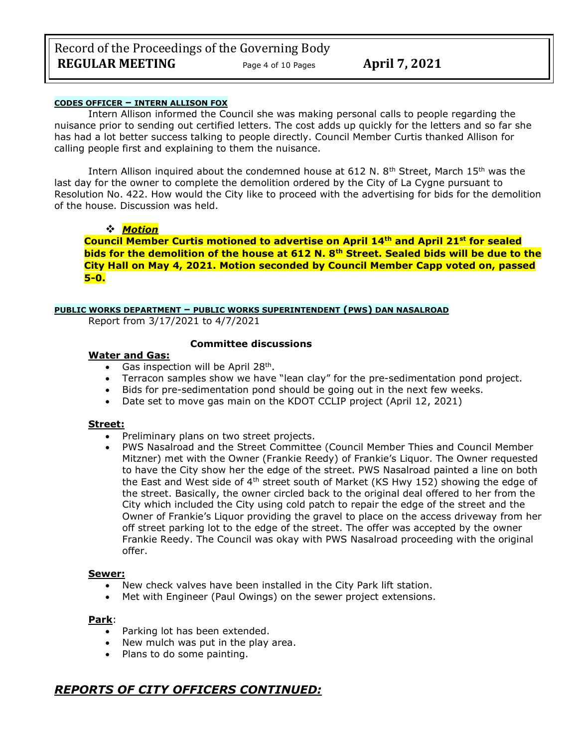Record of the Proceedings of the Governing Body **REGULAR MEETING** Page <sup>4</sup> of 10 Pages **April 7, 2021**

#### **CODES OFFICER – INTERN ALLISON FOX**

Intern Allison informed the Council she was making personal calls to people regarding the nuisance prior to sending out certified letters. The cost adds up quickly for the letters and so far she has had a lot better success talking to people directly. Council Member Curtis thanked Allison for calling people first and explaining to them the nuisance.

Intern Allison inquired about the condemned house at 612 N. 8<sup>th</sup> Street, March 15<sup>th</sup> was the last day for the owner to complete the demolition ordered by the City of La Cygne pursuant to Resolution No. 422. How would the City like to proceed with the advertising for bids for the demolition of the house. Discussion was held.

#### ❖ *Motion*

**Council Member Curtis motioned to advertise on April 14th and April 21st for sealed bids for the demolition of the house at 612 N. 8th Street. Sealed bids will be due to the City Hall on May 4, 2021. Motion seconded by Council Member Capp voted on, passed 5-0.**

### **PUBLIC WORKS DEPARTMENT – PUBLIC WORKS SUPERINTENDENT (PWS) DAN NASALROAD**

Report from 3/17/2021 to 4/7/2021

### **Committee discussions**

#### **Water and Gas:**

- Gas inspection will be April 28<sup>th</sup>.
- Terracon samples show we have "lean clay" for the pre-sedimentation pond project.
- Bids for pre-sedimentation pond should be going out in the next few weeks.
- Date set to move gas main on the KDOT CCLIP project (April 12, 2021)

#### **Street:**

- Preliminary plans on two street projects.
- PWS Nasalroad and the Street Committee (Council Member Thies and Council Member Mitzner) met with the Owner (Frankie Reedy) of Frankie's Liquor. The Owner requested to have the City show her the edge of the street. PWS Nasalroad painted a line on both the East and West side of  $4<sup>th</sup>$  street south of Market (KS Hwy 152) showing the edge of the street. Basically, the owner circled back to the original deal offered to her from the City which included the City using cold patch to repair the edge of the street and the Owner of Frankie's Liquor providing the gravel to place on the access driveway from her off street parking lot to the edge of the street. The offer was accepted by the owner Frankie Reedy. The Council was okay with PWS Nasalroad proceeding with the original offer.

#### **Sewer:**

- New check valves have been installed in the City Park lift station.
- Met with Engineer (Paul Owings) on the sewer project extensions.

#### **Park**:

- Parking lot has been extended.
- New mulch was put in the play area.
- Plans to do some painting.

# *REPORTS OF CITY OFFICERS CONTINUED:*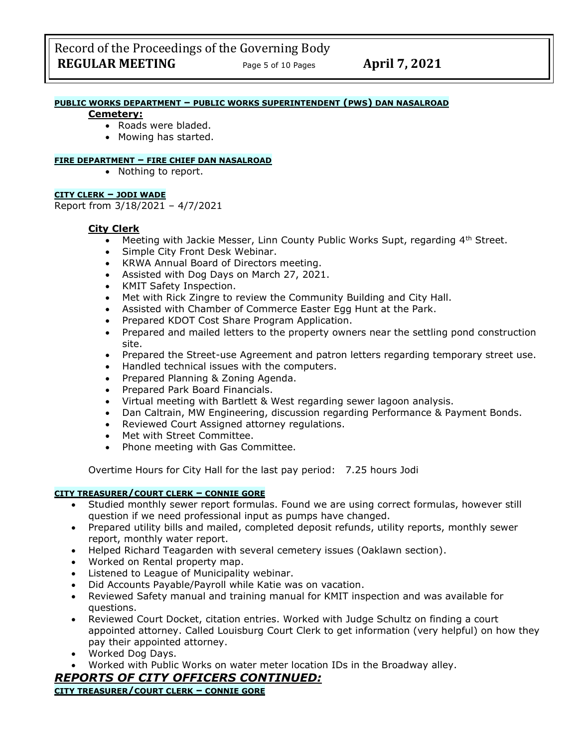#### **PUBLIC WORKS DEPARTMENT – PUBLIC WORKS SUPERINTENDENT (PWS) DAN NASALROAD**

#### **Cemetery:**

- Roads were bladed.
- Mowing has started.

#### **FIRE DEPARTMENT – FIRE CHIEF DAN NASALROAD**

• Nothing to report.

### **CITY CLERK – JODI WADE**

Report from 3/18/2021 – 4/7/2021

### **City Clerk**

- Meeting with Jackie Messer, Linn County Public Works Supt, regarding  $4<sup>th</sup>$  Street.
- Simple City Front Desk Webinar.
- KRWA Annual Board of Directors meeting.
- Assisted with Dog Days on March 27, 2021.
- KMIT Safety Inspection.
- Met with Rick Zingre to review the Community Building and City Hall.
- Assisted with Chamber of Commerce Easter Egg Hunt at the Park.
- Prepared KDOT Cost Share Program Application.
- Prepared and mailed letters to the property owners near the settling pond construction site.
- Prepared the Street-use Agreement and patron letters regarding temporary street use.
- Handled technical issues with the computers.
- Prepared Planning & Zoning Agenda.
- Prepared Park Board Financials.
- Virtual meeting with Bartlett & West regarding sewer lagoon analysis.
- Dan Caltrain, MW Engineering, discussion regarding Performance & Payment Bonds.
- Reviewed Court Assigned attorney regulations.
- Met with Street Committee.
- Phone meeting with Gas Committee.

Overtime Hours for City Hall for the last pay period: 7.25 hours Jodi

### **CITY TREASURER/COURT CLERK – CONNIE GORE**

- Studied monthly sewer report formulas. Found we are using correct formulas, however still question if we need professional input as pumps have changed.
- Prepared utility bills and mailed, completed deposit refunds, utility reports, monthly sewer report, monthly water report.
- Helped Richard Teagarden with several cemetery issues (Oaklawn section).
- Worked on Rental property map.
- Listened to League of Municipality webinar.
- Did Accounts Payable/Payroll while Katie was on vacation.
- Reviewed Safety manual and training manual for KMIT inspection and was available for questions.
- Reviewed Court Docket, citation entries. Worked with Judge Schultz on finding a court appointed attorney. Called Louisburg Court Clerk to get information (very helpful) on how they pay their appointed attorney.
- Worked Dog Days.
- Worked with Public Works on water meter location IDs in the Broadway alley.

## *REPORTS OF CITY OFFICERS CONTINUED:*

**CITY TREASURER/COURT CLERK – CONNIE GORE**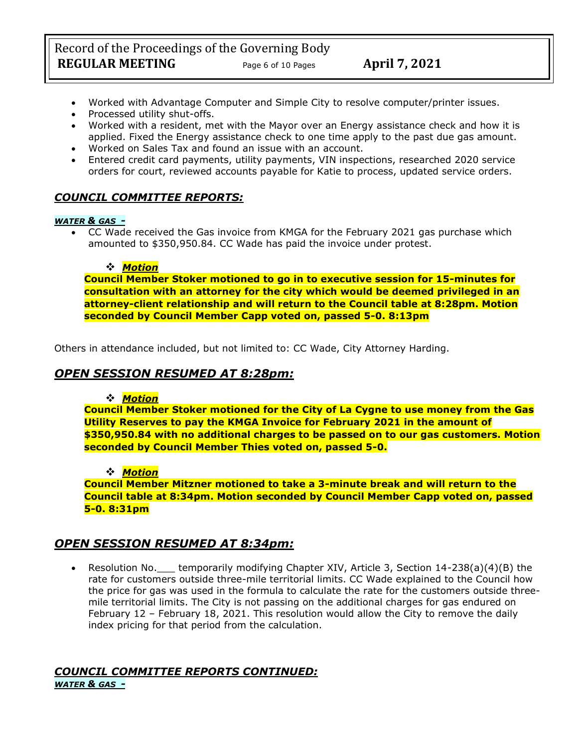- Worked with Advantage Computer and Simple City to resolve computer/printer issues.
- Processed utility shut-offs.
- Worked with a resident, met with the Mayor over an Energy assistance check and how it is applied. Fixed the Energy assistance check to one time apply to the past due gas amount.
- Worked on Sales Tax and found an issue with an account.
- Entered credit card payments, utility payments, VIN inspections, researched 2020 service orders for court, reviewed accounts payable for Katie to process, updated service orders.

# *COUNCIL COMMITTEE REPORTS:*

### *WATER & GAS -*

• CC Wade received the Gas invoice from KMGA for the February 2021 gas purchase which amounted to \$350,950.84. CC Wade has paid the invoice under protest.

### ❖ *Motion*

**Council Member Stoker motioned to go in to executive session for 15-minutes for consultation with an attorney for the city which would be deemed privileged in an attorney-client relationship and will return to the Council table at 8:28pm. Motion seconded by Council Member Capp voted on, passed 5-0. 8:13pm** 

Others in attendance included, but not limited to: CC Wade, City Attorney Harding.

# *OPEN SESSION RESUMED AT 8:28pm:*

### ❖ *Motion*

**Council Member Stoker motioned for the City of La Cygne to use money from the Gas Utility Reserves to pay the KMGA Invoice for February 2021 in the amount of \$350,950.84 with no additional charges to be passed on to our gas customers. Motion seconded by Council Member Thies voted on, passed 5-0.**

### ❖ *Motion*

**Council Member Mitzner motioned to take a 3-minute break and will return to the Council table at 8:34pm. Motion seconded by Council Member Capp voted on, passed 5-0. 8:31pm**

# *OPEN SESSION RESUMED AT 8:34pm:*

• Resolution No. Lemporarily modifying Chapter XIV, Article 3, Section 14-238(a)(4)(B) the rate for customers outside three-mile territorial limits. CC Wade explained to the Council how the price for gas was used in the formula to calculate the rate for the customers outside threemile territorial limits. The City is not passing on the additional charges for gas endured on February 12 – February 18, 2021. This resolution would allow the City to remove the daily index pricing for that period from the calculation.

#### *COUNCIL COMMITTEE REPORTS CONTINUED: WATER & GAS -*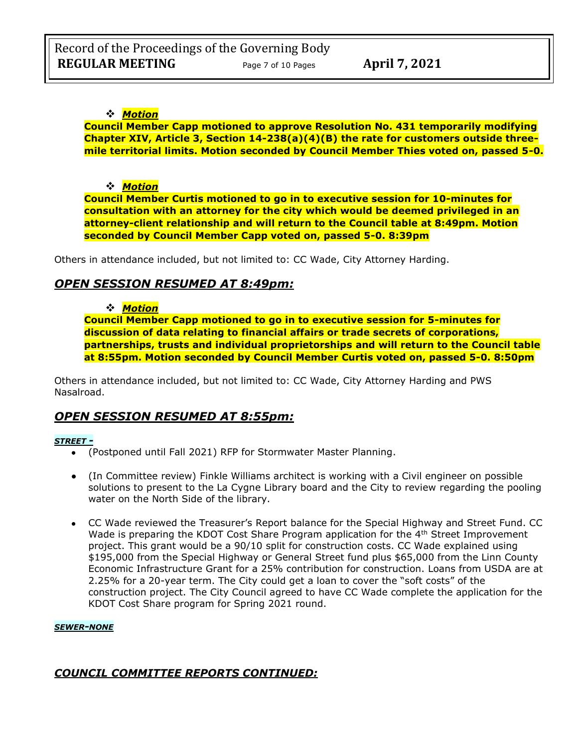## ❖ *Motion*

**Council Member Capp motioned to approve Resolution No. 431 temporarily modifying Chapter XIV, Article 3, Section 14-238(a)(4)(B) the rate for customers outside threemile territorial limits. Motion seconded by Council Member Thies voted on, passed 5-0.**

### ❖ *Motion*

**Council Member Curtis motioned to go in to executive session for 10-minutes for consultation with an attorney for the city which would be deemed privileged in an attorney-client relationship and will return to the Council table at 8:49pm. Motion seconded by Council Member Capp voted on, passed 5-0. 8:39pm** 

Others in attendance included, but not limited to: CC Wade, City Attorney Harding.

# *OPEN SESSION RESUMED AT 8:49pm:*

### ❖ *Motion*

**Council Member Capp motioned to go in to executive session for 5-minutes for discussion of data relating to financial affairs or trade secrets of corporations, partnerships, trusts and individual proprietorships and will return to the Council table at 8:55pm. Motion seconded by Council Member Curtis voted on, passed 5-0. 8:50pm** 

Others in attendance included, but not limited to: CC Wade, City Attorney Harding and PWS Nasalroad.

# *OPEN SESSION RESUMED AT 8:55pm:*

### *STREET -*

- (Postponed until Fall 2021) RFP for Stormwater Master Planning.
- (In Committee review) Finkle Williams architect is working with a Civil engineer on possible solutions to present to the La Cygne Library board and the City to review regarding the pooling water on the North Side of the library.
- CC Wade reviewed the Treasurer's Report balance for the Special Highway and Street Fund. CC Wade is preparing the KDOT Cost Share Program application for the 4<sup>th</sup> Street Improvement project. This grant would be a 90/10 split for construction costs. CC Wade explained using \$195,000 from the Special Highway or General Street fund plus \$65,000 from the Linn County Economic Infrastructure Grant for a 25% contribution for construction. Loans from USDA are at 2.25% for a 20-year term. The City could get a loan to cover the "soft costs" of the construction project. The City Council agreed to have CC Wade complete the application for the KDOT Cost Share program for Spring 2021 round.

### *SEWER-NONE*

# *COUNCIL COMMITTEE REPORTS CONTINUED:*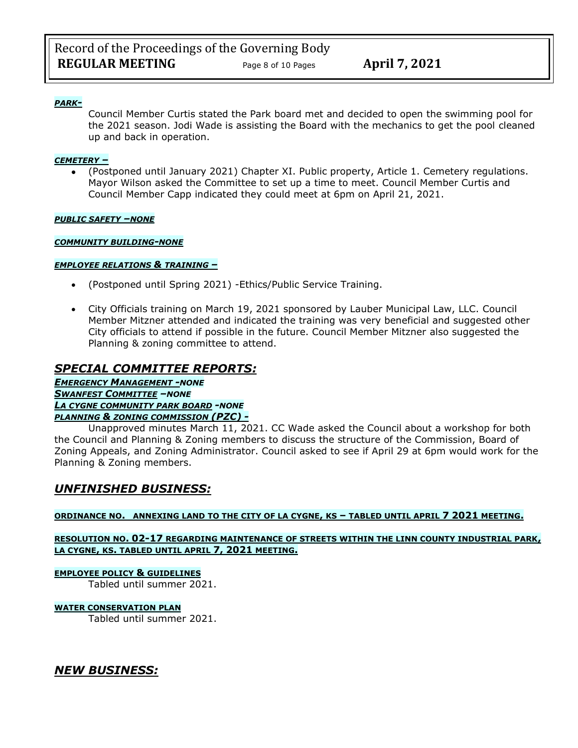### *PARK-*

Council Member Curtis stated the Park board met and decided to open the swimming pool for the 2021 season. Jodi Wade is assisting the Board with the mechanics to get the pool cleaned up and back in operation.

### *CEMETERY –*

• (Postponed until January 2021) Chapter XI. Public property, Article 1. Cemetery regulations. Mayor Wilson asked the Committee to set up a time to meet. Council Member Curtis and Council Member Capp indicated they could meet at 6pm on April 21, 2021.

#### *PUBLIC SAFETY –NONE*

### *COMMUNITY BUILDING-NONE*

### *EMPLOYEE RELATIONS & TRAINING –*

- (Postponed until Spring 2021) -Ethics/Public Service Training.
- City Officials training on March 19, 2021 sponsored by Lauber Municipal Law, LLC. Council Member Mitzner attended and indicated the training was very beneficial and suggested other City officials to attend if possible in the future. Council Member Mitzner also suggested the Planning & zoning committee to attend.

# *SPECIAL COMMITTEE REPORTS:*

*EMERGENCY MANAGEMENT -NONE SWANFEST COMMITTEE –NONE LA CYGNE COMMUNITY PARK BOARD -NONE PLANNING & ZONING COMMISSION (PZC) -*

Unapproved minutes March 11, 2021. CC Wade asked the Council about a workshop for both the Council and Planning & Zoning members to discuss the structure of the Commission, Board of Zoning Appeals, and Zoning Administrator. Council asked to see if April 29 at 6pm would work for the Planning & Zoning members.

# *UNFINISHED BUSINESS:*

### **ORDINANCE NO. ANNEXING LAND TO THE CITY OF LA CYGNE, KS – TABLED UNTIL APRIL 7 2021 MEETING.**

### **RESOLUTION NO. 02-17 REGARDING MAINTENANCE OF STREETS WITHIN THE LINN COUNTY INDUSTRIAL PARK, LA CYGNE, KS. TABLED UNTIL APRIL 7, 2021 MEETING.**

#### **EMPLOYEE POLICY & GUIDELINES**

Tabled until summer 2021.

#### **WATER CONSERVATION PLAN**

Tabled until summer 2021.

*NEW BUSINESS:*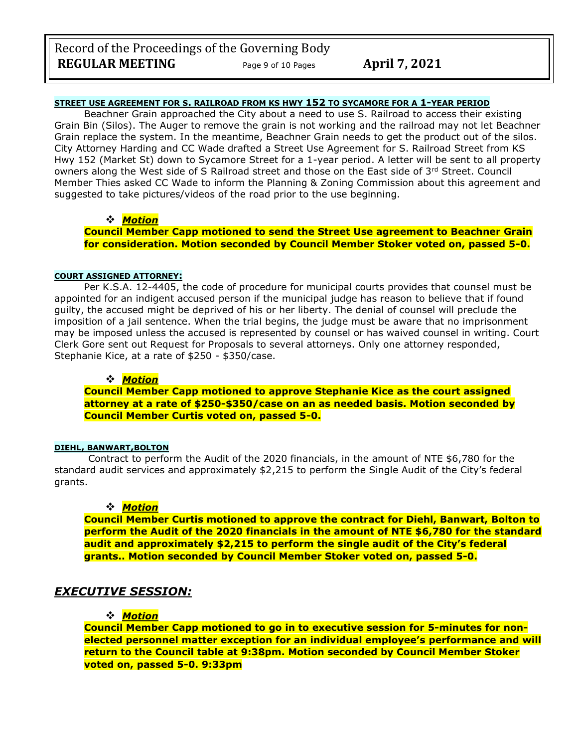### **STREET USE AGREEMENT FOR S. RAILROAD FROM KS HWY 152 TO SYCAMORE FOR A 1-YEAR PERIOD**

Beachner Grain approached the City about a need to use S. Railroad to access their existing Grain Bin (Silos). The Auger to remove the grain is not working and the railroad may not let Beachner Grain replace the system. In the meantime, Beachner Grain needs to get the product out of the silos. City Attorney Harding and CC Wade drafted a Street Use Agreement for S. Railroad Street from KS Hwy 152 (Market St) down to Sycamore Street for a 1-year period. A letter will be sent to all property owners along the West side of S Railroad street and those on the East side of 3rd Street. Council Member Thies asked CC Wade to inform the Planning & Zoning Commission about this agreement and suggested to take pictures/videos of the road prior to the use beginning.

### ❖ *Motion*

**Council Member Capp motioned to send the Street Use agreement to Beachner Grain for consideration. Motion seconded by Council Member Stoker voted on, passed 5-0.**

#### **COURT ASSIGNED ATTORNEY:**

Per K.S.A. 12-4405, the code of procedure for municipal courts provides that counsel must be appointed for an indigent accused person if the municipal judge has reason to believe that if found guilty, the accused might be deprived of his or her liberty. The denial of counsel will preclude the imposition of a jail sentence. When the trial begins, the judge must be aware that no imprisonment may be imposed unless the accused is represented by counsel or has waived counsel in writing. Court Clerk Gore sent out Request for Proposals to several attorneys. Only one attorney responded, Stephanie Kice, at a rate of \$250 - \$350/case.

#### ❖ *Motion*

**Council Member Capp motioned to approve Stephanie Kice as the court assigned attorney at a rate of \$250-\$350/case on an as needed basis. Motion seconded by Council Member Curtis voted on, passed 5-0.**

#### **DIEHL, BANWART,BOLTON**

Contract to perform the Audit of the 2020 financials, in the amount of NTE \$6,780 for the standard audit services and approximately \$2,215 to perform the Single Audit of the City's federal grants.

#### ❖ *Motion*

**Council Member Curtis motioned to approve the contract for Diehl, Banwart, Bolton to perform the Audit of the 2020 financials in the amount of NTE \$6,780 for the standard audit and approximately \$2,215 to perform the single audit of the City's federal grants.. Motion seconded by Council Member Stoker voted on, passed 5-0.**

## *EXECUTIVE SESSION:*

#### ❖ *Motion*

**Council Member Capp motioned to go in to executive session for 5-minutes for nonelected personnel matter exception for an individual employee's performance and will return to the Council table at 9:38pm. Motion seconded by Council Member Stoker voted on, passed 5-0. 9:33pm**